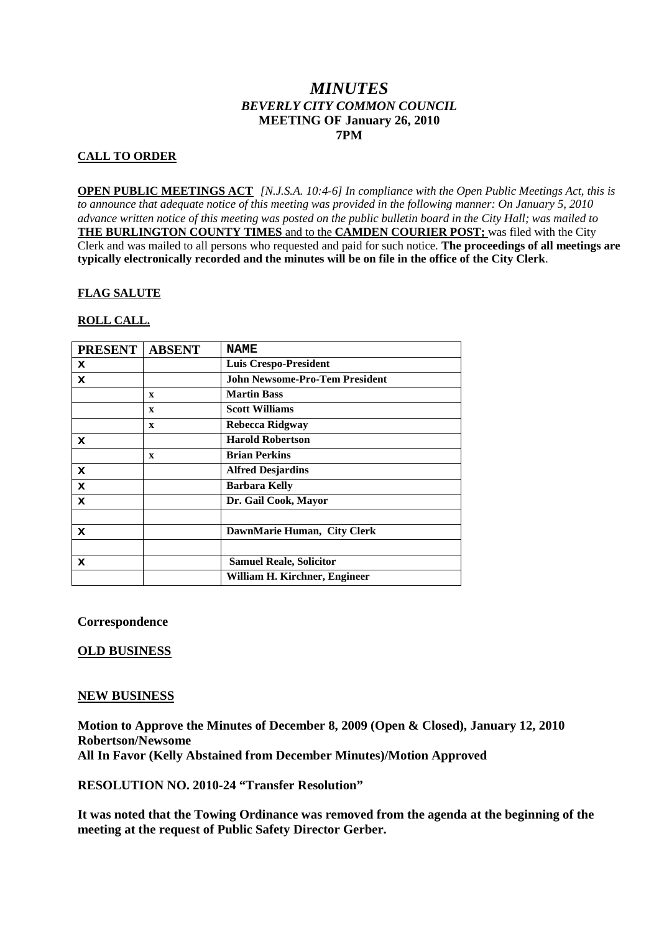# *MINUTES BEVERLY CITY COMMON COUNCIL* **MEETING OF January 26, 2010 7PM**

## **CALL TO ORDER**

**OPEN PUBLIC MEETINGS ACT** *[N.J.S.A. 10:4-6] In compliance with the Open Public Meetings Act, this is to announce that adequate notice of this meeting was provided in the following manner: On January 5, 2010 advance written notice of this meeting was posted on the public bulletin board in the City Hall; was mailed to* **THE BURLINGTON COUNTY TIMES** and to the **CAMDEN COURIER POST;** was filed with the City Clerk and was mailed to all persons who requested and paid for such notice. **The proceedings of all meetings are typically electronically recorded and the minutes will be on file in the office of the City Clerk**.

## **FLAG SALUTE**

## **ROLL CALL.**

| <b>PRESENT</b> | <b>ABSENT</b> | <b>NAME</b>                           |
|----------------|---------------|---------------------------------------|
| x              |               | <b>Luis Crespo-President</b>          |
| x              |               | <b>John Newsome-Pro-Tem President</b> |
|                | X             | <b>Martin Bass</b>                    |
|                | X             | <b>Scott Williams</b>                 |
|                | X             | Rebecca Ridgway                       |
| x              |               | <b>Harold Robertson</b>               |
|                | X             | <b>Brian Perkins</b>                  |
| x              |               | <b>Alfred Desjardins</b>              |
| x              |               | <b>Barbara Kelly</b>                  |
| x              |               | Dr. Gail Cook, Mayor                  |
|                |               |                                       |
| x              |               | DawnMarie Human, City Clerk           |
|                |               |                                       |
| x              |               | <b>Samuel Reale, Solicitor</b>        |
|                |               | William H. Kirchner, Engineer         |

**Correspondence**

## **OLD BUSINESS**

### **NEW BUSINESS**

**Motion to Approve the Minutes of December 8, 2009 (Open & Closed), January 12, 2010 Robertson/Newsome All In Favor (Kelly Abstained from December Minutes)/Motion Approved**

### **RESOLUTION NO. 2010-24 "Transfer Resolution"**

**It was noted that the Towing Ordinance was removed from the agenda at the beginning of the meeting at the request of Public Safety Director Gerber.**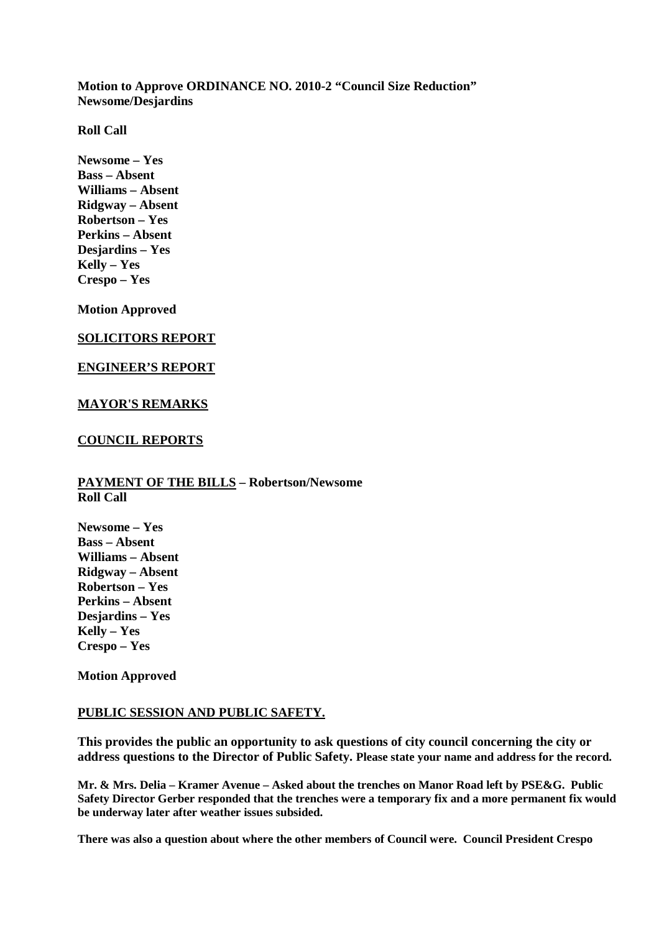**Motion to Approve ORDINANCE NO. 2010-2 "Council Size Reduction" Newsome/Desjardins**

**Roll Call**

**Newsome – Yes Bass – Absent Williams – Absent Ridgway – Absent Robertson – Yes Perkins – Absent Desjardins – Yes Kelly – Yes Crespo – Yes**

**Motion Approved**

## **SOLICITORS REPORT**

#### **ENGINEER'S REPORT**

#### **MAYOR'S REMARKS**

#### **COUNCIL REPORTS**

### **PAYMENT OF THE BILLS – Robertson/Newsome Roll Call**

**Newsome – Yes Bass – Absent Williams – Absent Ridgway – Absent Robertson – Yes Perkins – Absent Desjardins – Yes Kelly – Yes Crespo – Yes**

**Motion Approved**

#### **PUBLIC SESSION AND PUBLIC SAFETY.**

**This provides the public an opportunity to ask questions of city council concerning the city or address questions to the Director of Public Safety. Please state your name and address for the record.**

**Mr. & Mrs. Delia – Kramer Avenue – Asked about the trenches on Manor Road left by PSE&G. Public Safety Director Gerber responded that the trenches were a temporary fix and a more permanent fix would be underway later after weather issues subsided.**

**There was also a question about where the other members of Council were. Council President Crespo**